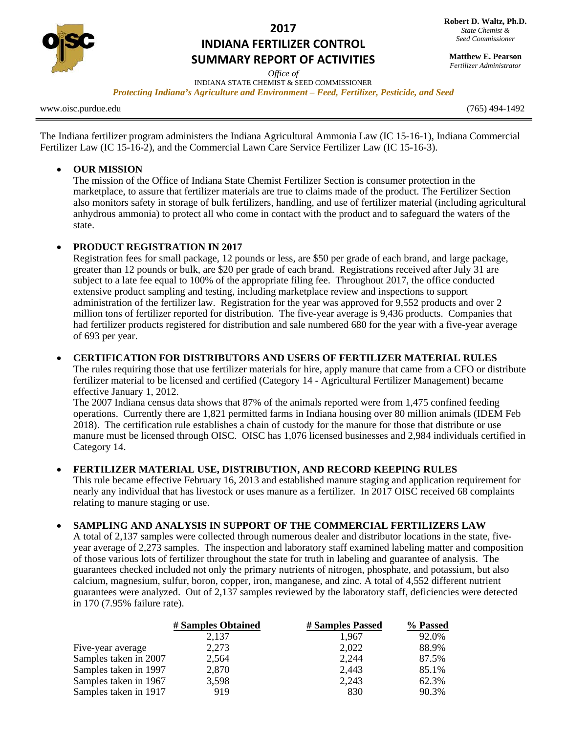

# **2017 INDIANA FERTILIZER CONTROL SUMMARY REPORT OF ACTIVITIES**

*Office of*  INDIANA STATE CHEMIST & SEED COMMISSIONER

*Protecting Indiana's Agriculture and Environment – Feed, Fertilizer, Pesticide, and Seed* 

www.oisc.purdue.edu (765) 494-1492

The Indiana fertilizer program administers the Indiana Agricultural Ammonia Law (IC 15-16-1), Indiana Commercial Fertilizer Law (IC 15-16-2), and the Commercial Lawn Care Service Fertilizer Law (IC 15-16-3).

## **OUR MISSION**

The mission of the Office of Indiana State Chemist Fertilizer Section is consumer protection in the marketplace, to assure that fertilizer materials are true to claims made of the product. The Fertilizer Section also monitors safety in storage of bulk fertilizers, handling, and use of fertilizer material (including agricultural anhydrous ammonia) to protect all who come in contact with the product and to safeguard the waters of the state.

## **PRODUCT REGISTRATION IN 2017**

Registration fees for small package, 12 pounds or less, are \$50 per grade of each brand, and large package, greater than 12 pounds or bulk, are \$20 per grade of each brand. Registrations received after July 31 are subject to a late fee equal to 100% of the appropriate filing fee. Throughout 2017, the office conducted extensive product sampling and testing, including marketplace review and inspections to support administration of the fertilizer law. Registration for the year was approved for 9,552 products and over 2 million tons of fertilizer reported for distribution. The five-year average is 9,436 products. Companies that had fertilizer products registered for distribution and sale numbered 680 for the year with a five-year average of 693 per year.

#### **CERTIFICATION FOR DISTRIBUTORS AND USERS OF FERTILIZER MATERIAL RULES**

The rules requiring those that use fertilizer materials for hire, apply manure that came from a CFO or distribute fertilizer material to be licensed and certified (Category 14 - Agricultural Fertilizer Management) became effective January 1, 2012.

The 2007 Indiana census data shows that 87% of the animals reported were from 1,475 confined feeding operations. Currently there are 1,821 permitted farms in Indiana housing over 80 million animals (IDEM Feb 2018). The certification rule establishes a chain of custody for the manure for those that distribute or use manure must be licensed through OISC. OISC has 1,076 licensed businesses and 2,984 individuals certified in Category 14.

## **FERTILIZER MATERIAL USE, DISTRIBUTION, AND RECORD KEEPING RULES**

This rule became effective February 16, 2013 and established manure staging and application requirement for nearly any individual that has livestock or uses manure as a fertilizer. In 2017 OISC received 68 complaints relating to manure staging or use.

## **SAMPLING AND ANALYSIS IN SUPPORT OF THE COMMERCIAL FERTILIZERS LAW**

A total of 2,137 samples were collected through numerous dealer and distributor locations in the state, fiveyear average of 2,273 samples. The inspection and laboratory staff examined labeling matter and composition of those various lots of fertilizer throughout the state for truth in labeling and guarantee of analysis. The guarantees checked included not only the primary nutrients of nitrogen, phosphate, and potassium, but also calcium, magnesium, sulfur, boron, copper, iron, manganese, and zinc. A total of 4,552 different nutrient guarantees were analyzed. Out of 2,137 samples reviewed by the laboratory staff, deficiencies were detected in 170 (7.95% failure rate).

|                       | # Samples Obtained | # Samples Passed | % Passed |
|-----------------------|--------------------|------------------|----------|
|                       | 2,137              | 1.967            | 92.0%    |
| Five-year average     | 2,273              | 2,022            | 88.9%    |
| Samples taken in 2007 | 2,564              | 2,244            | 87.5%    |
| Samples taken in 1997 | 2,870              | 2,443            | 85.1%    |
| Samples taken in 1967 | 3,598              | 2,243            | 62.3%    |
| Samples taken in 1917 | 919                | 830              | 90.3%    |

**Matthew E. Pearson** *Fertilizer Administrator*